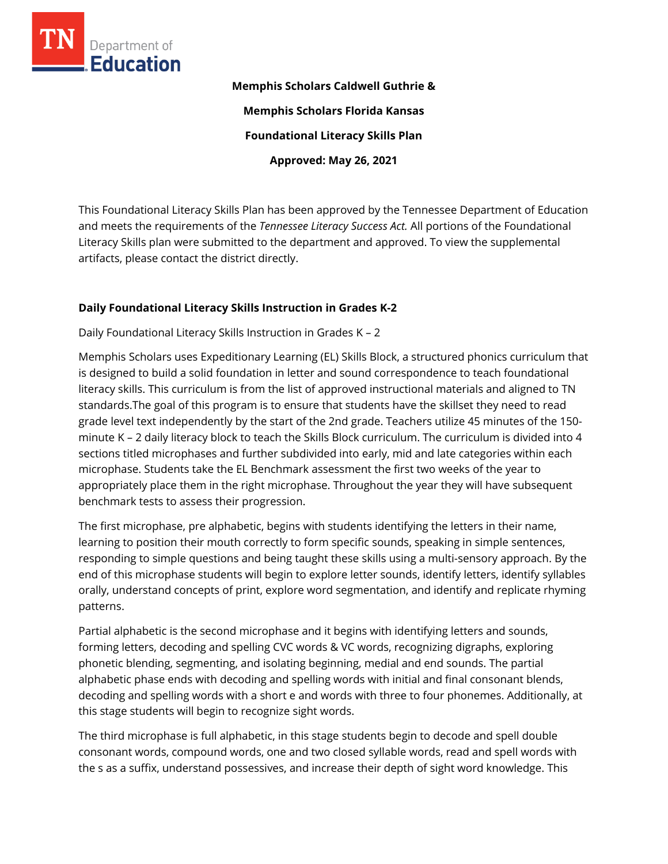

**Memphis Scholars Caldwell Guthrie & Memphis Scholars Florida Kansas Foundational Literacy Skills Plan Approved: May 26, 2021**

This Foundational Literacy Skills Plan has been approved by the Tennessee Department of Education and meets the requirements of the *Tennessee Literacy Success Act.* All portions of the Foundational Literacy Skills plan were submitted to the department and approved. To view the supplemental artifacts, please contact the district directly.

## **Daily Foundational Literacy Skills Instruction in Grades K-2**

Daily Foundational Literacy Skills Instruction in Grades K – 2

Memphis Scholars uses Expeditionary Learning (EL) Skills Block, a structured phonics curriculum that is designed to build a solid foundation in letter and sound correspondence to teach foundational literacy skills. This curriculum is from the list of approved instructional materials and aligned to TN standards.The goal of this program is to ensure that students have the skillset they need to read grade level text independently by the start of the 2nd grade. Teachers utilize 45 minutes of the 150 minute K – 2 daily literacy block to teach the Skills Block curriculum. The curriculum is divided into 4 sections titled microphases and further subdivided into early, mid and late categories within each microphase. Students take the EL Benchmark assessment the first two weeks of the year to appropriately place them in the right microphase. Throughout the year they will have subsequent benchmark tests to assess their progression.

The first microphase, pre alphabetic, begins with students identifying the letters in their name, learning to position their mouth correctly to form specific sounds, speaking in simple sentences, responding to simple questions and being taught these skills using a multi-sensory approach. By the end of this microphase students will begin to explore letter sounds, identify letters, identify syllables orally, understand concepts of print, explore word segmentation, and identify and replicate rhyming patterns.

Partial alphabetic is the second microphase and it begins with identifying letters and sounds, forming letters, decoding and spelling CVC words & VC words, recognizing digraphs, exploring phonetic blending, segmenting, and isolating beginning, medial and end sounds. The partial alphabetic phase ends with decoding and spelling words with initial and final consonant blends, decoding and spelling words with a short e and words with three to four phonemes. Additionally, at this stage students will begin to recognize sight words.

The third microphase is full alphabetic, in this stage students begin to decode and spell double consonant words, compound words, one and two closed syllable words, read and spell words with the s as a suffix, understand possessives, and increase their depth of sight word knowledge. This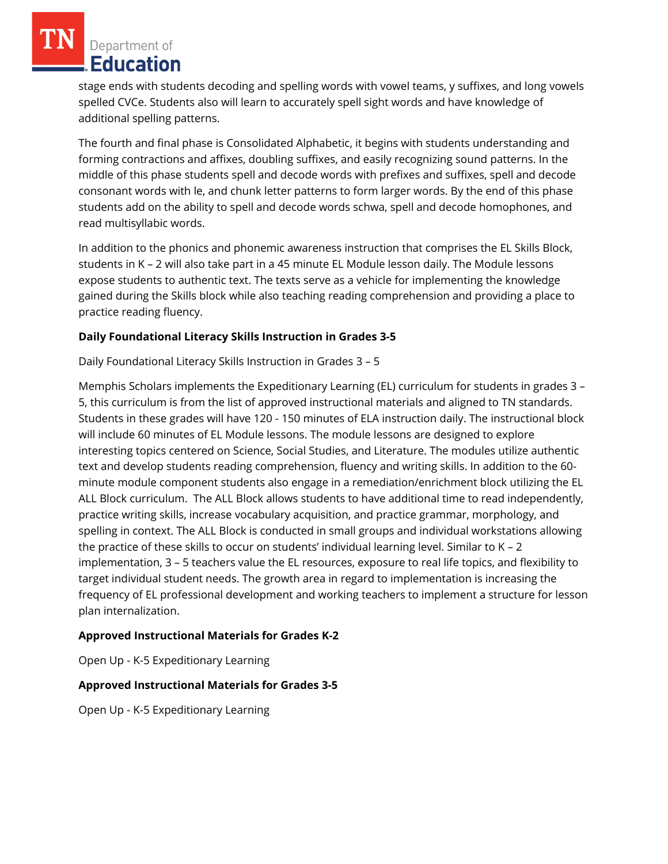Department of **Education** 

stage ends with students decoding and spelling words with vowel teams, y suffixes, and long vowels spelled CVCe. Students also will learn to accurately spell sight words and have knowledge of additional spelling patterns.

The fourth and final phase is Consolidated Alphabetic, it begins with students understanding and forming contractions and affixes, doubling suffixes, and easily recognizing sound patterns. In the middle of this phase students spell and decode words with prefixes and suffixes, spell and decode consonant words with le, and chunk letter patterns to form larger words. By the end of this phase students add on the ability to spell and decode words schwa, spell and decode homophones, and read multisyllabic words.

In addition to the phonics and phonemic awareness instruction that comprises the EL Skills Block, students in K – 2 will also take part in a 45 minute EL Module lesson daily. The Module lessons expose students to authentic text. The texts serve as a vehicle for implementing the knowledge gained during the Skills block while also teaching reading comprehension and providing a place to practice reading fluency.

## **Daily Foundational Literacy Skills Instruction in Grades 3-5**

Daily Foundational Literacy Skills Instruction in Grades 3 – 5

Memphis Scholars implements the Expeditionary Learning (EL) curriculum for students in grades 3 – 5, this curriculum is from the list of approved instructional materials and aligned to TN standards. Students in these grades will have 120 - 150 minutes of ELA instruction daily. The instructional block will include 60 minutes of EL Module lessons. The module lessons are designed to explore interesting topics centered on Science, Social Studies, and Literature. The modules utilize authentic text and develop students reading comprehension, fluency and writing skills. In addition to the 60 minute module component students also engage in a remediation/enrichment block utilizing the EL ALL Block curriculum. The ALL Block allows students to have additional time to read independently, practice writing skills, increase vocabulary acquisition, and practice grammar, morphology, and spelling in context. The ALL Block is conducted in small groups and individual workstations allowing the practice of these skills to occur on students' individual learning level. Similar to K – 2 implementation, 3 – 5 teachers value the EL resources, exposure to real life topics, and flexibility to target individual student needs. The growth area in regard to implementation is increasing the frequency of EL professional development and working teachers to implement a structure for lesson plan internalization.

# **Approved Instructional Materials for Grades K-2**

Open Up - K-5 Expeditionary Learning

## **Approved Instructional Materials for Grades 3-5**

Open Up - K-5 Expeditionary Learning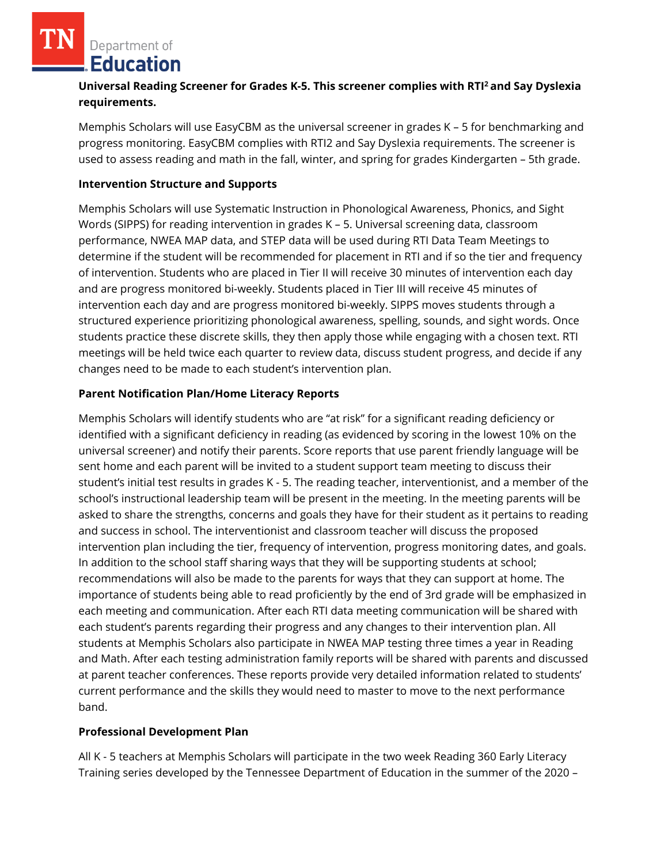Department of Education

# **Universal Reading Screener for Grades K-5. This screener complies with RTI<sup>2</sup>and Say Dyslexia requirements.**

Memphis Scholars will use EasyCBM as the universal screener in grades K – 5 for benchmarking and progress monitoring. EasyCBM complies with RTI2 and Say Dyslexia requirements. The screener is used to assess reading and math in the fall, winter, and spring for grades Kindergarten – 5th grade.

#### **Intervention Structure and Supports**

Memphis Scholars will use Systematic Instruction in Phonological Awareness, Phonics, and Sight Words (SIPPS) for reading intervention in grades K – 5. Universal screening data, classroom performance, NWEA MAP data, and STEP data will be used during RTI Data Team Meetings to determine if the student will be recommended for placement in RTI and if so the tier and frequency of intervention. Students who are placed in Tier II will receive 30 minutes of intervention each day and are progress monitored bi-weekly. Students placed in Tier III will receive 45 minutes of intervention each day and are progress monitored bi-weekly. SIPPS moves students through a structured experience prioritizing phonological awareness, spelling, sounds, and sight words. Once students practice these discrete skills, they then apply those while engaging with a chosen text. RTI meetings will be held twice each quarter to review data, discuss student progress, and decide if any changes need to be made to each student's intervention plan.

#### **Parent Notification Plan/Home Literacy Reports**

Memphis Scholars will identify students who are "at risk" for a significant reading deficiency or identified with a significant deficiency in reading (as evidenced by scoring in the lowest 10% on the universal screener) and notify their parents. Score reports that use parent friendly language will be sent home and each parent will be invited to a student support team meeting to discuss their student's initial test results in grades K - 5. The reading teacher, interventionist, and a member of the school's instructional leadership team will be present in the meeting. In the meeting parents will be asked to share the strengths, concerns and goals they have for their student as it pertains to reading and success in school. The interventionist and classroom teacher will discuss the proposed intervention plan including the tier, frequency of intervention, progress monitoring dates, and goals. In addition to the school staff sharing ways that they will be supporting students at school; recommendations will also be made to the parents for ways that they can support at home. The importance of students being able to read proficiently by the end of 3rd grade will be emphasized in each meeting and communication. After each RTI data meeting communication will be shared with each student's parents regarding their progress and any changes to their intervention plan. All students at Memphis Scholars also participate in NWEA MAP testing three times a year in Reading and Math. After each testing administration family reports will be shared with parents and discussed at parent teacher conferences. These reports provide very detailed information related to students' current performance and the skills they would need to master to move to the next performance band.

## **Professional Development Plan**

All K - 5 teachers at Memphis Scholars will participate in the two week Reading 360 Early Literacy Training series developed by the Tennessee Department of Education in the summer of the 2020 –